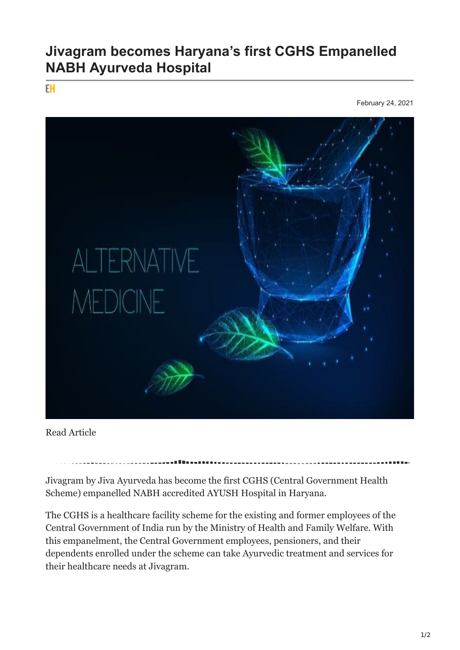## **Jivagram becomes Haryana's first CGHS Empanelled NABH Ayurveda Hospital**

EH

February 24, 2021



Read Article

Jivagram by Jiva Ayurveda has become the first CGHS (Central Government Health Scheme) empanelled NABH accredited AYUSH Hospital in Haryana.

The CGHS is a healthcare facility scheme for the existing and former employees of the Central Government of India run by the Ministry of Health and Family Welfare. With this empanelment, the Central Government employees, pensioners, and their dependents enrolled under the scheme can take Ayurvedic treatment and services for their healthcare needs at Jivagram.